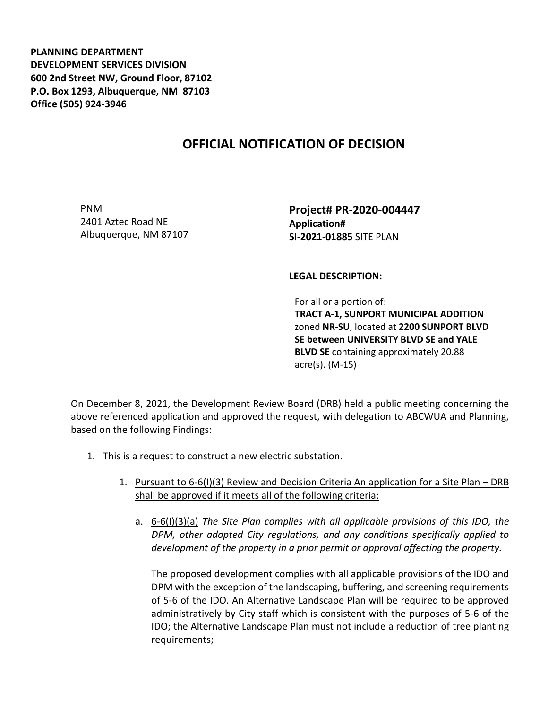**PLANNING DEPARTMENT DEVELOPMENT SERVICES DIVISION 600 2nd Street NW, Ground Floor, 87102 P.O. Box 1293, Albuquerque, NM 87103 Office (505) 924-3946** 

## **OFFICIAL NOTIFICATION OF DECISION**

PNM 2401 Aztec Road NE Albuquerque, NM 87107 **Project# PR-2020-004447 Application# SI-2021-01885** SITE PLAN

**LEGAL DESCRIPTION:**

For all or a portion of: **TRACT A-1, SUNPORT MUNICIPAL ADDITION**  zoned **NR-SU**, located at **2200 SUNPORT BLVD SE between UNIVERSITY BLVD SE and YALE BLVD SE** containing approximately 20.88 acre(s). (M-15)

On December 8, 2021, the Development Review Board (DRB) held a public meeting concerning the above referenced application and approved the request, with delegation to ABCWUA and Planning, based on the following Findings:

- 1. This is a request to construct a new electric substation.
	- 1. Pursuant to 6-6(I)(3) Review and Decision Criteria An application for a Site Plan DRB shall be approved if it meets all of the following criteria:
		- a. 6-6(I)(3)(a) *The Site Plan complies with all applicable provisions of this IDO, the DPM, other adopted City regulations, and any conditions specifically applied to development of the property in a prior permit or approval affecting the property.*

The proposed development complies with all applicable provisions of the IDO and DPM with the exception of the landscaping, buffering, and screening requirements of 5-6 of the IDO. An Alternative Landscape Plan will be required to be approved administratively by City staff which is consistent with the purposes of 5-6 of the IDO; the Alternative Landscape Plan must not include a reduction of tree planting requirements;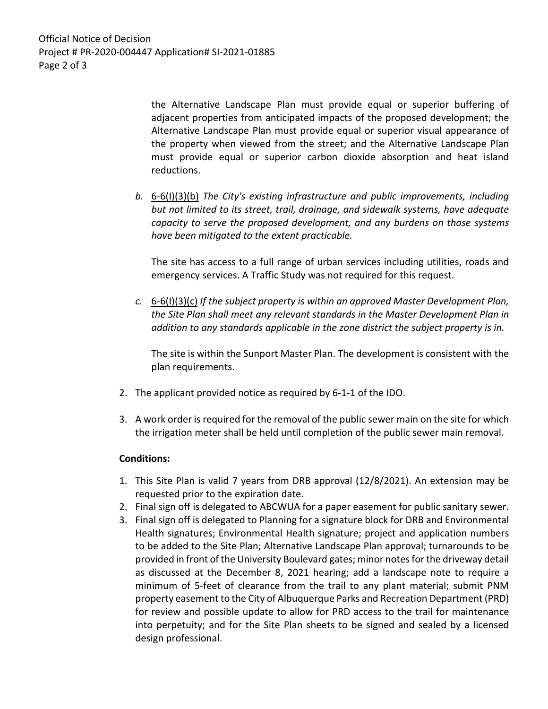the Alternative Landscape Plan must provide equal or superior buffering of adjacent properties from anticipated impacts of the proposed development; the Alternative Landscape Plan must provide equal or superior visual appearance of the property when viewed from the street; and the Alternative Landscape Plan must provide equal or superior carbon dioxide absorption and heat island reductions.

*b.* 6-6(I)(3)(b) *The City's existing infrastructure and public improvements, including but not limited to its street, trail, drainage, and sidewalk systems, have adequate capacity to serve the proposed development, and any burdens on those systems have been mitigated to the extent practicable.* 

The site has access to a full range of urban services including utilities, roads and emergency services. A Traffic Study was not required for this request.

*c.* 6-6(I)(3)(c) *If the subject property is within an approved Master Development Plan, the Site Plan shall meet any relevant standards in the Master Development Plan in addition to any standards applicable in the zone district the subject property is in.*

The site is within the Sunport Master Plan. The development is consistent with the plan requirements.

- 2. The applicant provided notice as required by 6-1-1 of the IDO.
- 3. A work order is required for the removal of the public sewer main on the site for which the irrigation meter shall be held until completion of the public sewer main removal.

## **Conditions:**

- 1. This Site Plan is valid 7 years from DRB approval (12/8/2021). An extension may be requested prior to the expiration date.
- 2. Final sign off is delegated to ABCWUA for a paper easement for public sanitary sewer.
- 3. Final sign off is delegated to Planning for a signature block for DRB and Environmental Health signatures; Environmental Health signature; project and application numbers to be added to the Site Plan; Alternative Landscape Plan approval; turnarounds to be provided in front of the University Boulevard gates; minor notes for the driveway detail as discussed at the December 8, 2021 hearing; add a landscape note to require a minimum of 5-feet of clearance from the trail to any plant material; submit PNM property easement to the City of Albuquerque Parks and Recreation Department (PRD) for review and possible update to allow for PRD access to the trail for maintenance into perpetuity; and for the Site Plan sheets to be signed and sealed by a licensed design professional.